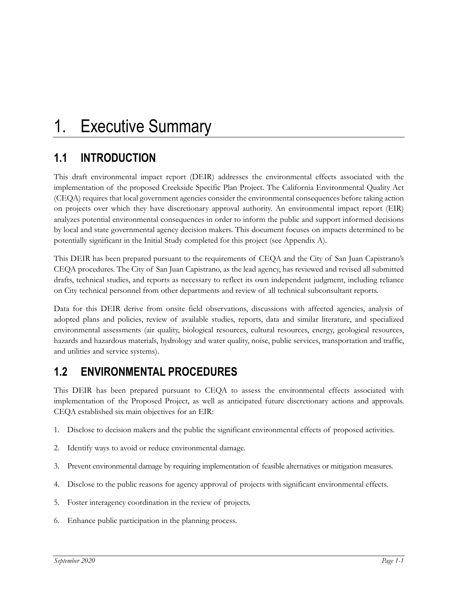# **1.1 INTRODUCTION**

This draft environmental impact report (DEIR) addresses the environmental effects associated with the implementation of the proposed Creekside Specific Plan Project. The California Environmental Quality Act (CEQA) requires that local government agencies consider the environmental consequences before taking action on projects over which they have discretionary approval authority. An environmental impact report (EIR) analyzes potential environmental consequences in order to inform the public and support informed decisions by local and state governmental agency decision makers. This document focuses on impacts determined to be potentially significant in the Initial Study completed for this project (see Appendix A).

This DEIR has been prepared pursuant to the requirements of CEQA and the City of San Juan Capistrano's CEQA procedures. The City of San Juan Capistrano, as the lead agency, has reviewed and revised all submitted drafts, technical studies, and reports as necessary to reflect its own independent judgment, including reliance on City technical personnel from other departments and review of all technical subconsultant reports.

Data for this DEIR derive from onsite field observations, discussions with affected agencies, analysis of adopted plans and policies, review of available studies, reports, data and similar literature, and specialized environmental assessments (air quality, biological resources, cultural resources, energy, geological resources, hazards and hazardous materials, hydrology and water quality, noise, public services, transportation and traffic, and utilities and service systems).

# **1.2 ENVIRONMENTAL PROCEDURES**

This DEIR has been prepared pursuant to CEQA to assess the environmental effects associated with implementation of the Proposed Project, as well as anticipated future discretionary actions and approvals. CEQA established six main objectives for an EIR:

- 1. Disclose to decision makers and the public the significant environmental effects of proposed activities.
- 2. Identify ways to avoid or reduce environmental damage.
- 3. Prevent environmental damage by requiring implementation of feasible alternatives or mitigation measures.
- 4. Disclose to the public reasons for agency approval of projects with significant environmental effects.
- 5. Foster interagency coordination in the review of projects.
- 6. Enhance public participation in the planning process.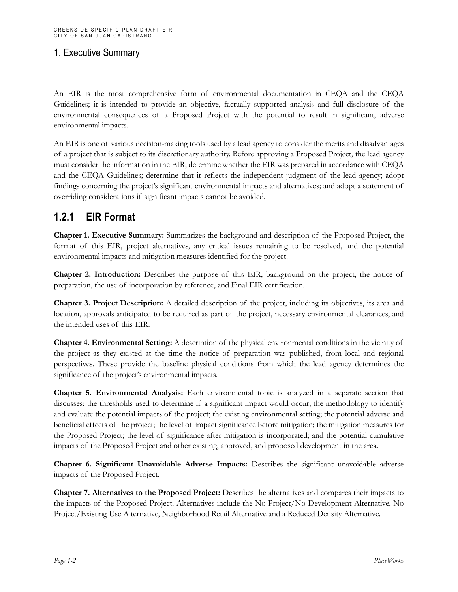An EIR is the most comprehensive form of environmental documentation in CEQA and the CEQA Guidelines; it is intended to provide an objective, factually supported analysis and full disclosure of the environmental consequences of a Proposed Project with the potential to result in significant, adverse environmental impacts.

An EIR is one of various decision-making tools used by a lead agency to consider the merits and disadvantages of a project that is subject to its discretionary authority. Before approving a Proposed Project, the lead agency must consider the information in the EIR; determine whether the EIR was prepared in accordance with CEQA and the CEQA Guidelines; determine that it reflects the independent judgment of the lead agency; adopt findings concerning the project's significant environmental impacts and alternatives; and adopt a statement of overriding considerations if significant impacts cannot be avoided.

#### **1.2.1 EIR Format**

**Chapter 1. Executive Summary:** Summarizes the background and description of the Proposed Project, the format of this EIR, project alternatives, any critical issues remaining to be resolved, and the potential environmental impacts and mitigation measures identified for the project.

**Chapter 2. Introduction:** Describes the purpose of this EIR, background on the project, the notice of preparation, the use of incorporation by reference, and Final EIR certification.

**Chapter 3. Project Description:** A detailed description of the project, including its objectives, its area and location, approvals anticipated to be required as part of the project, necessary environmental clearances, and the intended uses of this EIR.

**Chapter 4. Environmental Setting:** A description of the physical environmental conditions in the vicinity of the project as they existed at the time the notice of preparation was published, from local and regional perspectives. These provide the baseline physical conditions from which the lead agency determines the significance of the project's environmental impacts.

**Chapter 5. Environmental Analysis:** Each environmental topic is analyzed in a separate section that discusses: the thresholds used to determine if a significant impact would occur; the methodology to identify and evaluate the potential impacts of the project; the existing environmental setting; the potential adverse and beneficial effects of the project; the level of impact significance before mitigation; the mitigation measures for the Proposed Project; the level of significance after mitigation is incorporated; and the potential cumulative impacts of the Proposed Project and other existing, approved, and proposed development in the area.

**Chapter 6. Significant Unavoidable Adverse Impacts:** Describes the significant unavoidable adverse impacts of the Proposed Project.

**Chapter 7. Alternatives to the Proposed Project:** Describes the alternatives and compares their impacts to the impacts of the Proposed Project. Alternatives include the No Project/No Development Alternative, No Project/Existing Use Alternative, Neighborhood Retail Alternative and a Reduced Density Alternative.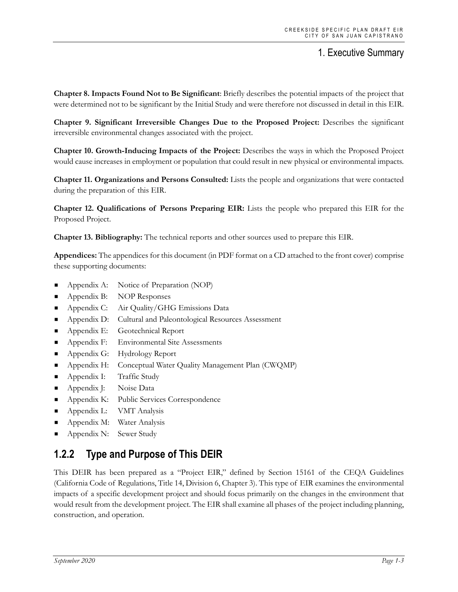**Chapter 8. Impacts Found Not to Be Significant**: Briefly describes the potential impacts of the project that were determined not to be significant by the Initial Study and were therefore not discussed in detail in this EIR.

**Chapter 9. Significant Irreversible Changes Due to the Proposed Project:** Describes the significant irreversible environmental changes associated with the project.

**Chapter 10. Growth-Inducing Impacts of the Project:** Describes the ways in which the Proposed Project would cause increases in employment or population that could result in new physical or environmental impacts.

**Chapter 11. Organizations and Persons Consulted:** Lists the people and organizations that were contacted during the preparation of this EIR.

**Chapter 12. Qualifications of Persons Preparing EIR:** Lists the people who prepared this EIR for the Proposed Project.

**Chapter 13. Bibliography:** The technical reports and other sources used to prepare this EIR.

**Appendices:** The appendices for this document (in PDF format on a CD attached to the front cover) comprise these supporting documents:

- Appendix A: Notice of Preparation (NOP)
- Appendix B: NOP Responses
- **Appendix C:** Air Quality/GHG Emissions Data
- **Appendix D:** Cultural and Paleontological Resources Assessment
- **Appendix E:** Geotechnical Report
- **Appendix F:** Environmental Site Assessments
- **Appendix G:** Hydrology Report
- **Appendix H:** Conceptual Water Quality Management Plan (CWQMP)
- **Appendix I:** Traffic Study
- Appendix J: Noise Data
- **Appendix K:** Public Services Correspondence
- **Appendix L:** VMT Analysis
- Appendix M: Water Analysis
- Appendix N: Sewer Study

#### **1.2.2 Type and Purpose of This DEIR**

This DEIR has been prepared as a "Project EIR," defined by Section 15161 of the CEQA Guidelines (California Code of Regulations, Title 14, Division 6, Chapter 3). This type of EIR examines the environmental impacts of a specific development project and should focus primarily on the changes in the environment that would result from the development project. The EIR shall examine all phases of the project including planning, construction, and operation.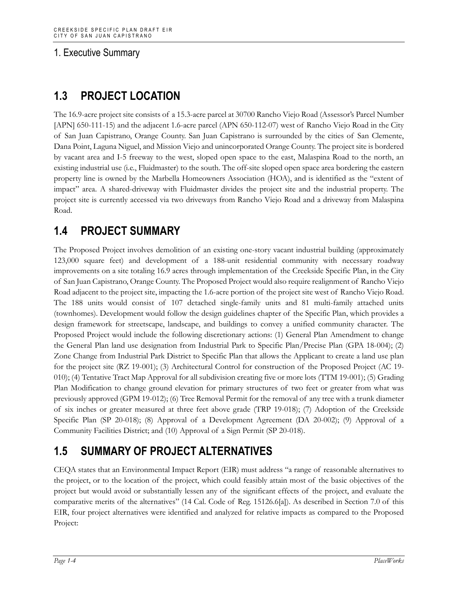# **1.3 PROJECT LOCATION**

The 16.9-acre project site consists of a 15.3-acre parcel at 30700 Rancho Viejo Road (Assessor's Parcel Number [APN] 650-111-15) and the adjacent 1.6-acre parcel (APN 650-112-07) west of Rancho Viejo Road in the City of San Juan Capistrano, Orange County. San Juan Capistrano is surrounded by the cities of San Clemente, Dana Point, Laguna Niguel, and Mission Viejo and unincorporated Orange County. The project site is bordered by vacant area and I-5 freeway to the west, sloped open space to the east, Malaspina Road to the north, an existing industrial use (i.e., Fluidmaster) to the south. The off-site sloped open space area bordering the eastern property line is owned by the Marbella Homeowners Association (HOA), and is identified as the "extent of impact" area. A shared-driveway with Fluidmaster divides the project site and the industrial property. The project site is currently accessed via two driveways from Rancho Viejo Road and a driveway from Malaspina Road.

# **1.4 PROJECT SUMMARY**

The Proposed Project involves demolition of an existing one-story vacant industrial building (approximately 123,000 square feet) and development of a 188-unit residential community with necessary roadway improvements on a site totaling 16.9 acres through implementation of the Creekside Specific Plan, in the City of San Juan Capistrano, Orange County. The Proposed Project would also require realignment of Rancho Viejo Road adjacent to the project site, impacting the 1.6-acre portion of the project site west of Rancho Viejo Road. The 188 units would consist of 107 detached single-family units and 81 multi-family attached units (townhomes). Development would follow the design guidelines chapter of the Specific Plan, which provides a design framework for streetscape, landscape, and buildings to convey a unified community character. The Proposed Project would include the following discretionary actions: (1) General Plan Amendment to change the General Plan land use designation from Industrial Park to Specific Plan/Precise Plan (GPA 18-004); (2) Zone Change from Industrial Park District to Specific Plan that allows the Applicant to create a land use plan for the project site (RZ 19-001); (3) Architectural Control for construction of the Proposed Project (AC 19- 010); (4) Tentative Tract Map Approval for all subdivision creating five or more lots (TTM 19-001); (5) Grading Plan Modification to change ground elevation for primary structures of two feet or greater from what was previously approved (GPM 19-012); (6) Tree Removal Permit for the removal of any tree with a trunk diameter of six inches or greater measured at three feet above grade (TRP 19-018); (7) Adoption of the Creekside Specific Plan (SP 20-018); (8) Approval of a Development Agreement (DA 20-002); (9) Approval of a Community Facilities District; and (10) Approval of a Sign Permit (SP 20-018).

# **1.5 SUMMARY OF PROJECT ALTERNATIVES**

CEQA states that an Environmental Impact Report (EIR) must address "a range of reasonable alternatives to the project, or to the location of the project, which could feasibly attain most of the basic objectives of the project but would avoid or substantially lessen any of the significant effects of the project, and evaluate the comparative merits of the alternatives" (14 Cal. Code of Reg. 15126.6[a]). As described in Section 7.0 of this EIR, four project alternatives were identified and analyzed for relative impacts as compared to the Proposed Project: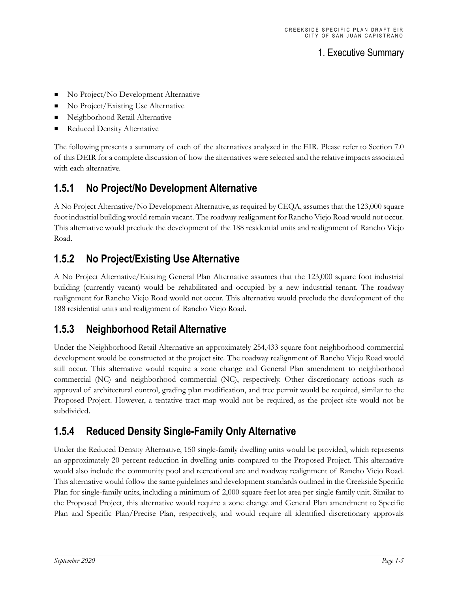- No Project/No Development Alternative
- No Project/Existing Use Alternative
- Neighborhood Retail Alternative
- Reduced Density Alternative

The following presents a summary of each of the alternatives analyzed in the EIR. Please refer to Section 7.0 of this DEIR for a complete discussion of how the alternatives were selected and the relative impacts associated with each alternative.

### **1.5.1 No Project/No Development Alternative**

A No Project Alternative/No Development Alternative, as required by CEQA, assumes that the 123,000 square foot industrial building would remain vacant. The roadway realignment for Rancho Viejo Road would not occur. This alternative would preclude the development of the 188 residential units and realignment of Rancho Viejo Road.

# **1.5.2 No Project/Existing Use Alternative**

A No Project Alternative/Existing General Plan Alternative assumes that the 123,000 square foot industrial building (currently vacant) would be rehabilitated and occupied by a new industrial tenant. The roadway realignment for Rancho Viejo Road would not occur. This alternative would preclude the development of the 188 residential units and realignment of Rancho Viejo Road.

#### **1.5.3 Neighborhood Retail Alternative**

Under the Neighborhood Retail Alternative an approximately 254,433 square foot neighborhood commercial development would be constructed at the project site. The roadway realignment of Rancho Viejo Road would still occur. This alternative would require a zone change and General Plan amendment to neighborhood commercial (NC) and neighborhood commercial (NC), respectively. Other discretionary actions such as approval of architectural control, grading plan modification, and tree permit would be required, similar to the Proposed Project. However, a tentative tract map would not be required, as the project site would not be subdivided.

#### **1.5.4 Reduced Density Single-Family Only Alternative**

Under the Reduced Density Alternative, 150 single-family dwelling units would be provided, which represents an approximately 20 percent reduction in dwelling units compared to the Proposed Project. This alternative would also include the community pool and recreational are and roadway realignment of Rancho Viejo Road. This alternative would follow the same guidelines and development standards outlined in the Creekside Specific Plan for single-family units, including a minimum of 2,000 square feet lot area per single family unit. Similar to the Proposed Project, this alternative would require a zone change and General Plan amendment to Specific Plan and Specific Plan/Precise Plan, respectively, and would require all identified discretionary approvals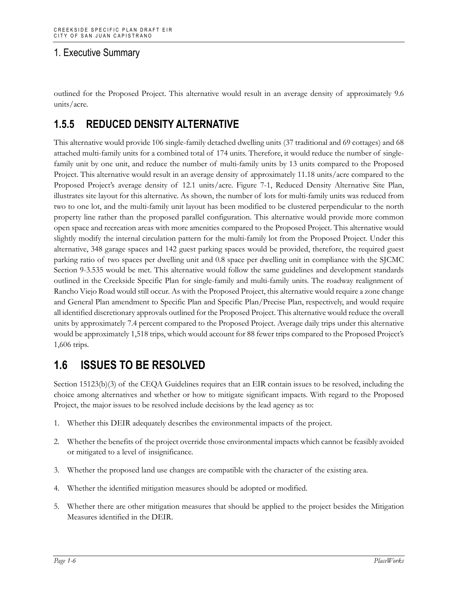outlined for the Proposed Project. This alternative would result in an average density of approximately 9.6 units/acre.

### **1.5.5 REDUCED DENSITY ALTERNATIVE**

This alternative would provide 106 single-family detached dwelling units (37 traditional and 69 cottages) and 68 attached multi-family units for a combined total of 174 units. Therefore, it would reduce the number of singlefamily unit by one unit, and reduce the number of multi-family units by 13 units compared to the Proposed Project. This alternative would result in an average density of approximately 11.18 units/acre compared to the Proposed Project's average density of 12.1 units/acre. Figure 7-1, Reduced Density Alternative Site Plan, illustrates site layout for this alternative. As shown, the number of lots for multi-family units was reduced from two to one lot, and the multi-family unit layout has been modified to be clustered perpendicular to the north property line rather than the proposed parallel configuration. This alternative would provide more common open space and recreation areas with more amenities compared to the Proposed Project. This alternative would slightly modify the internal circulation pattern for the multi-family lot from the Proposed Project. Under this alternative, 348 garage spaces and 142 guest parking spaces would be provided, therefore, the required guest parking ratio of two spaces per dwelling unit and 0.8 space per dwelling unit in compliance with the SJCMC Section 9-3.535 would be met. This alternative would follow the same guidelines and development standards outlined in the Creekside Specific Plan for single-family and multi-family units. The roadway realignment of Rancho Viejo Road would still occur. As with the Proposed Project, this alternative would require a zone change and General Plan amendment to Specific Plan and Specific Plan/Precise Plan, respectively, and would require all identified discretionary approvals outlined for the Proposed Project. This alternative would reduce the overall units by approximately 7.4 percent compared to the Proposed Project. Average daily trips under this alternative would be approximately 1,518 trips, which would account for 88 fewer trips compared to the Proposed Project's 1,606 trips.

# **1.6 ISSUES TO BE RESOLVED**

Section 15123(b)(3) of the CEQA Guidelines requires that an EIR contain issues to be resolved, including the choice among alternatives and whether or how to mitigate significant impacts. With regard to the Proposed Project, the major issues to be resolved include decisions by the lead agency as to:

- 1. Whether this DEIR adequately describes the environmental impacts of the project.
- 2. Whether the benefits of the project override those environmental impacts which cannot be feasibly avoided or mitigated to a level of insignificance.
- 3. Whether the proposed land use changes are compatible with the character of the existing area.
- 4. Whether the identified mitigation measures should be adopted or modified.
- 5. Whether there are other mitigation measures that should be applied to the project besides the Mitigation Measures identified in the DEIR.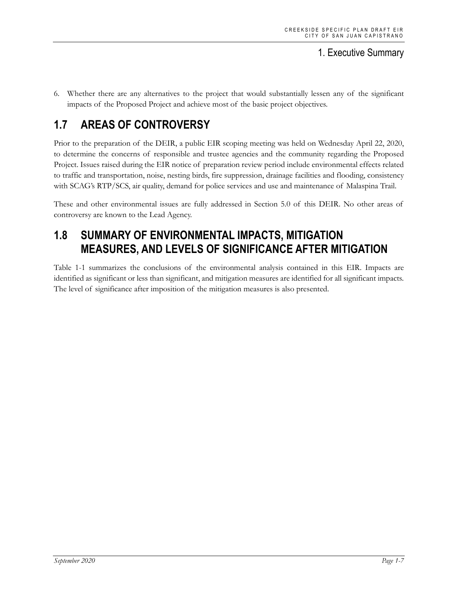6. Whether there are any alternatives to the project that would substantially lessen any of the significant impacts of the Proposed Project and achieve most of the basic project objectives.

# **1.7 AREAS OF CONTROVERSY**

Prior to the preparation of the DEIR, a public EIR scoping meeting was held on Wednesday April 22, 2020, to determine the concerns of responsible and trustee agencies and the community regarding the Proposed Project. Issues raised during the EIR notice of preparation review period include environmental effects related to traffic and transportation, noise, nesting birds, fire suppression, drainage facilities and flooding, consistency with SCAG's RTP/SCS, air quality, demand for police services and use and maintenance of Malaspina Trail.

These and other environmental issues are fully addressed in Section 5.0 of this DEIR. No other areas of controversy are known to the Lead Agency.

# **1.8 SUMMARY OF ENVIRONMENTAL IMPACTS, MITIGATION MEASURES, AND LEVELS OF SIGNIFICANCE AFTER MITIGATION**

Table 1-1 summarizes the conclusions of the environmental analysis contained in this EIR. Impacts are identified as significant or less than significant, and mitigation measures are identified for all significant impacts. The level of significance after imposition of the mitigation measures is also presented.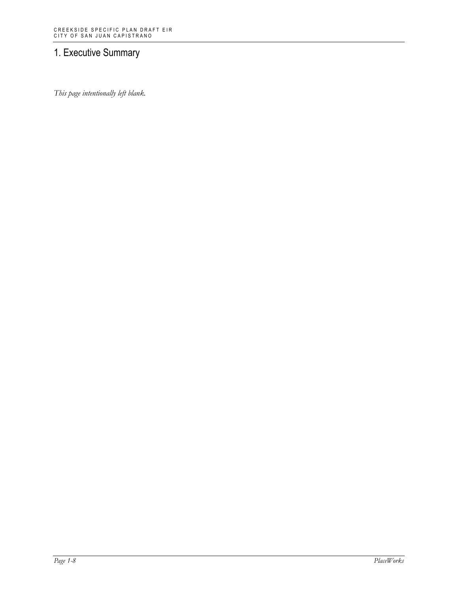*This page intentionally left blank.*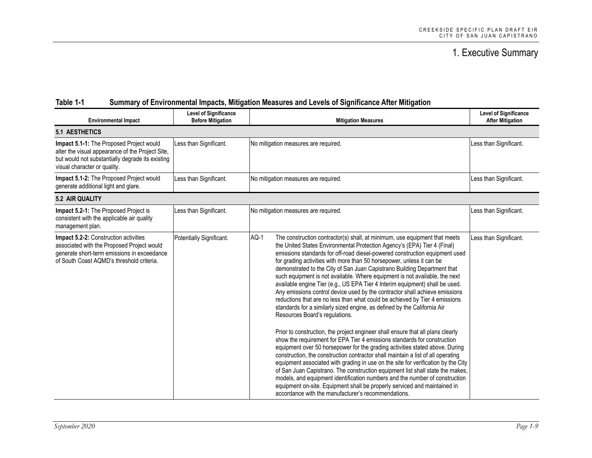| <b>Environmental Impact</b>                                                                                                                                                      | <b>Level of Significance</b><br><b>Before Mitigation</b> | <b>Mitigation Measures</b>                                                                                                                                                                                                                                                                                                                                                                                                                                                                                                                                                                                                                                                                                                                                                                                                                                                                                                                                                                                                                                                                                                                                                                                                                                                                                                                                                                                                                                                                                                                                                 | <b>Level of Significance</b><br><b>After Mitigation</b> |
|----------------------------------------------------------------------------------------------------------------------------------------------------------------------------------|----------------------------------------------------------|----------------------------------------------------------------------------------------------------------------------------------------------------------------------------------------------------------------------------------------------------------------------------------------------------------------------------------------------------------------------------------------------------------------------------------------------------------------------------------------------------------------------------------------------------------------------------------------------------------------------------------------------------------------------------------------------------------------------------------------------------------------------------------------------------------------------------------------------------------------------------------------------------------------------------------------------------------------------------------------------------------------------------------------------------------------------------------------------------------------------------------------------------------------------------------------------------------------------------------------------------------------------------------------------------------------------------------------------------------------------------------------------------------------------------------------------------------------------------------------------------------------------------------------------------------------------------|---------------------------------------------------------|
| <b>5.1 AESTHETICS</b>                                                                                                                                                            |                                                          |                                                                                                                                                                                                                                                                                                                                                                                                                                                                                                                                                                                                                                                                                                                                                                                                                                                                                                                                                                                                                                                                                                                                                                                                                                                                                                                                                                                                                                                                                                                                                                            |                                                         |
| Impact 5.1-1: The Proposed Project would<br>alter the visual appearance of the Project Site,<br>but would not substantially degrade its existing<br>visual character or quality. | Less than Significant.                                   | No mitigation measures are required.                                                                                                                                                                                                                                                                                                                                                                                                                                                                                                                                                                                                                                                                                                                                                                                                                                                                                                                                                                                                                                                                                                                                                                                                                                                                                                                                                                                                                                                                                                                                       | Less than Significant.                                  |
| Impact 5.1-2: The Proposed Project would<br>generate additional light and glare.                                                                                                 | Less than Significant.                                   | No mitigation measures are required.                                                                                                                                                                                                                                                                                                                                                                                                                                                                                                                                                                                                                                                                                                                                                                                                                                                                                                                                                                                                                                                                                                                                                                                                                                                                                                                                                                                                                                                                                                                                       | Less than Significant.                                  |
| 5.2 AIR QUALITY                                                                                                                                                                  |                                                          |                                                                                                                                                                                                                                                                                                                                                                                                                                                                                                                                                                                                                                                                                                                                                                                                                                                                                                                                                                                                                                                                                                                                                                                                                                                                                                                                                                                                                                                                                                                                                                            |                                                         |
| Impact 5.2-1: The Proposed Project is<br>consistent with the applicable air quality<br>management plan.                                                                          | Less than Significant.                                   | No mitigation measures are required.                                                                                                                                                                                                                                                                                                                                                                                                                                                                                                                                                                                                                                                                                                                                                                                                                                                                                                                                                                                                                                                                                                                                                                                                                                                                                                                                                                                                                                                                                                                                       | Less than Significant.                                  |
| Impact 5.2-2: Construction activities<br>associated with the Proposed Project would<br>generate short-term emissions in exceedance<br>of South Coast AQMD's threshold criteria.  | Potentially Significant.                                 | AQ-1<br>The construction contractor(s) shall, at minimum, use equipment that meets<br>the United States Environmental Protection Agency's (EPA) Tier 4 (Final)<br>emissions standards for off-road diesel-powered construction equipment used<br>for grading activities with more than 50 horsepower, unless it can be<br>demonstrated to the City of San Juan Capistrano Building Department that<br>such equipment is not available. Where equipment is not available, the next<br>available engine Tier (e.g., US EPA Tier 4 Interim equipment) shall be used.<br>Any emissions control device used by the contractor shall achieve emissions<br>reductions that are no less than what could be achieved by Tier 4 emissions<br>standards for a similarly sized engine, as defined by the California Air<br>Resources Board's regulations.<br>Prior to construction, the project engineer shall ensure that all plans clearly<br>show the requirement for EPA Tier 4 emissions standards for construction<br>equipment over 50 horsepower for the grading activities stated above. During<br>construction, the construction contractor shall maintain a list of all operating<br>equipment associated with grading in use on the site for verification by the City<br>of San Juan Capistrano. The construction equipment list shall state the makes,<br>models, and equipment identification numbers and the number of construction<br>equipment on-site. Equipment shall be properly serviced and maintained in<br>accordance with the manufacturer's recommendations. | Less than Significant.                                  |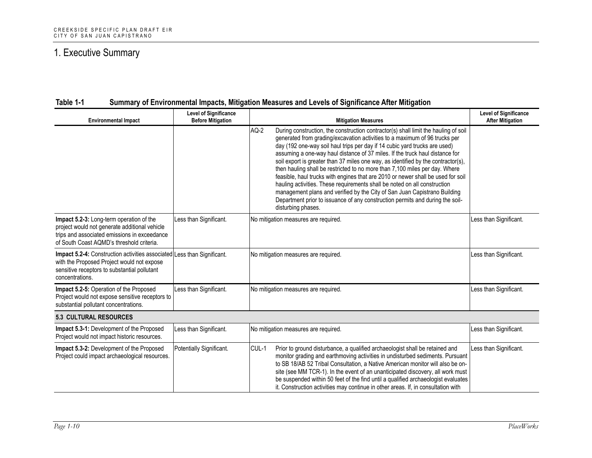| Table 1-1 |  |  | Summary of Environmental Impacts, Mitigation Measures and Levels of Significance After Mitigation |
|-----------|--|--|---------------------------------------------------------------------------------------------------|
|           |  |  |                                                                                                   |

| <b>Environmental Impact</b>                                                                                                                                                              | <b>Level of Significance</b><br><b>Before Mitigation</b> | <b>Mitigation Measures</b>                                                                                                                                                                                                                                                                                                                                                                                                                                                                                                                                                                                                                                                                                                                                                                                                                                       | <b>Level of Significance</b><br><b>After Mitigation</b> |
|------------------------------------------------------------------------------------------------------------------------------------------------------------------------------------------|----------------------------------------------------------|------------------------------------------------------------------------------------------------------------------------------------------------------------------------------------------------------------------------------------------------------------------------------------------------------------------------------------------------------------------------------------------------------------------------------------------------------------------------------------------------------------------------------------------------------------------------------------------------------------------------------------------------------------------------------------------------------------------------------------------------------------------------------------------------------------------------------------------------------------------|---------------------------------------------------------|
|                                                                                                                                                                                          |                                                          | AQ-2<br>During construction, the construction contractor(s) shall limit the hauling of soil<br>generated from grading/excavation activities to a maximum of 96 trucks per<br>day (192 one-way soil haul trips per day if 14 cubic yard trucks are used)<br>assuming a one-way haul distance of 37 miles. If the truck haul distance for<br>soil export is greater than 37 miles one way, as identified by the contractor(s),<br>then hauling shall be restricted to no more than 7,100 miles per day. Where<br>feasible, haul trucks with engines that are 2010 or newer shall be used for soil<br>hauling activities. These requirements shall be noted on all construction<br>management plans and verified by the City of San Juan Capistrano Building<br>Department prior to issuance of any construction permits and during the soil-<br>disturbing phases. |                                                         |
| Impact 5.2-3: Long-term operation of the<br>project would not generate additional vehicle<br>trips and associated emissions in exceedance<br>of South Coast AQMD's threshold criteria.   | Less than Significant.                                   | No mitigation measures are required.                                                                                                                                                                                                                                                                                                                                                                                                                                                                                                                                                                                                                                                                                                                                                                                                                             | Less than Significant.                                  |
| Impact 5.2-4: Construction activities associated Less than Significant.<br>with the Proposed Project would not expose<br>sensitive receptors to substantial pollutant<br>concentrations. |                                                          | No mitigation measures are required.                                                                                                                                                                                                                                                                                                                                                                                                                                                                                                                                                                                                                                                                                                                                                                                                                             | Less than Significant.                                  |
| Impact 5.2-5: Operation of the Proposed<br>Project would not expose sensitive receptors to<br>substantial pollutant concentrations.                                                      | Less than Significant.                                   | No mitigation measures are required.                                                                                                                                                                                                                                                                                                                                                                                                                                                                                                                                                                                                                                                                                                                                                                                                                             | Less than Significant.                                  |
| <b>5.3 CULTURAL RESOURCES</b>                                                                                                                                                            |                                                          |                                                                                                                                                                                                                                                                                                                                                                                                                                                                                                                                                                                                                                                                                                                                                                                                                                                                  |                                                         |
| Impact 5.3-1: Development of the Proposed<br>Project would not impact historic resources.                                                                                                | Less than Significant.                                   | No mitigation measures are required.                                                                                                                                                                                                                                                                                                                                                                                                                                                                                                                                                                                                                                                                                                                                                                                                                             | Less than Significant.                                  |
| Impact 5.3-2: Development of the Proposed<br>Project could impact archaeological resources.                                                                                              | Potentially Significant.                                 | CUL-1<br>Prior to ground disturbance, a qualified archaeologist shall be retained and<br>monitor grading and earthmoving activities in undisturbed sediments. Pursuant<br>to SB 18/AB 52 Tribal Consultation, a Native American monitor will also be on-<br>site (see MM TCR-1). In the event of an unanticipated discovery, all work must<br>be suspended within 50 feet of the find until a qualified archaeologist evaluates<br>it. Construction activities may continue in other areas. If, in consultation with                                                                                                                                                                                                                                                                                                                                             | Less than Significant.                                  |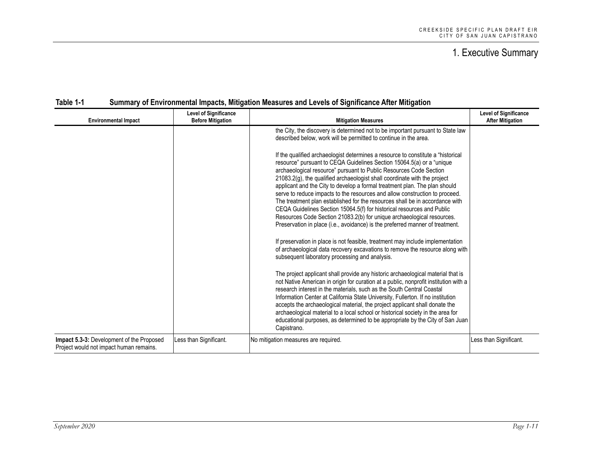| <b>Environmental Impact</b>                                                                 | <b>Level of Significance</b><br><b>Before Mitigation</b> | <b>Mitigation Measures</b>                                                                                                                                                                                                                                                                                                                                                                                                                                                                                                                                                                                                                                                                                                                                                                                                                                                                                                                                        | <b>Level of Significance</b><br><b>After Mitigation</b> |
|---------------------------------------------------------------------------------------------|----------------------------------------------------------|-------------------------------------------------------------------------------------------------------------------------------------------------------------------------------------------------------------------------------------------------------------------------------------------------------------------------------------------------------------------------------------------------------------------------------------------------------------------------------------------------------------------------------------------------------------------------------------------------------------------------------------------------------------------------------------------------------------------------------------------------------------------------------------------------------------------------------------------------------------------------------------------------------------------------------------------------------------------|---------------------------------------------------------|
|                                                                                             |                                                          | the City, the discovery is determined not to be important pursuant to State law<br>described below, work will be permitted to continue in the area.                                                                                                                                                                                                                                                                                                                                                                                                                                                                                                                                                                                                                                                                                                                                                                                                               |                                                         |
|                                                                                             |                                                          | If the qualified archaeologist determines a resource to constitute a "historical<br>resource" pursuant to CEQA Guidelines Section 15064.5(a) or a "unique<br>archaeological resource" pursuant to Public Resources Code Section<br>21083.2(g), the qualified archaeologist shall coordinate with the project<br>applicant and the City to develop a formal treatment plan. The plan should<br>serve to reduce impacts to the resources and allow construction to proceed.<br>The treatment plan established for the resources shall be in accordance with<br>CEQA Guidelines Section 15064.5(f) for historical resources and Public<br>Resources Code Section 21083.2(b) for unique archaeological resources.<br>Preservation in place (i.e., avoidance) is the preferred manner of treatment.<br>If preservation in place is not feasible, treatment may include implementation<br>of archaeological data recovery excavations to remove the resource along with |                                                         |
|                                                                                             |                                                          | subsequent laboratory processing and analysis.                                                                                                                                                                                                                                                                                                                                                                                                                                                                                                                                                                                                                                                                                                                                                                                                                                                                                                                    |                                                         |
|                                                                                             |                                                          | The project applicant shall provide any historic archaeological material that is<br>not Native American in origin for curation at a public, nonprofit institution with a<br>research interest in the materials, such as the South Central Coastal<br>Information Center at California State University, Fullerton. If no institution<br>accepts the archaeological material, the project applicant shall donate the<br>archaeological material to a local school or historical society in the area for<br>educational purposes, as determined to be appropriate by the City of San Juan<br>Capistrano.                                                                                                                                                                                                                                                                                                                                                            |                                                         |
| <b>Impact 5.3-3: Development of the Proposed</b><br>Project would not impact human remains. | Less than Significant.                                   | No mitigation measures are required.                                                                                                                                                                                                                                                                                                                                                                                                                                                                                                                                                                                                                                                                                                                                                                                                                                                                                                                              | Less than Significant.                                  |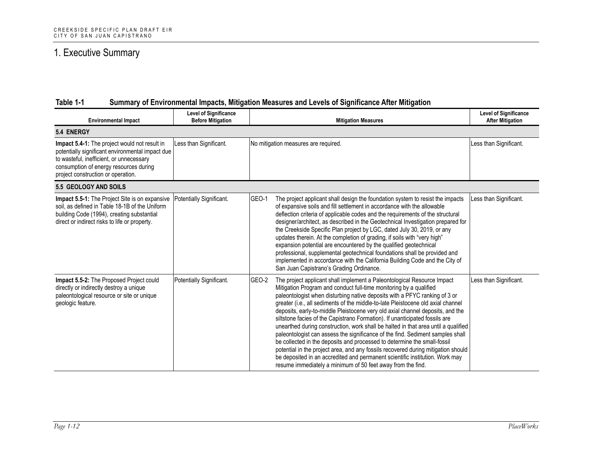| <b>Environmental Impact</b>                                                                                                                                                                                                   | <b>Level of Significance</b><br><b>Before Mitigation</b> | <b>Mitigation Measures</b>                                                                                                                                                                                                                                                                                                                                                                                                                                                                                                                                                                                                                                                                                                                                                                                                                                                                                                                                                        | <b>Level of Significance</b><br><b>After Mitigation</b> |
|-------------------------------------------------------------------------------------------------------------------------------------------------------------------------------------------------------------------------------|----------------------------------------------------------|-----------------------------------------------------------------------------------------------------------------------------------------------------------------------------------------------------------------------------------------------------------------------------------------------------------------------------------------------------------------------------------------------------------------------------------------------------------------------------------------------------------------------------------------------------------------------------------------------------------------------------------------------------------------------------------------------------------------------------------------------------------------------------------------------------------------------------------------------------------------------------------------------------------------------------------------------------------------------------------|---------------------------------------------------------|
| 5.4 ENERGY                                                                                                                                                                                                                    |                                                          |                                                                                                                                                                                                                                                                                                                                                                                                                                                                                                                                                                                                                                                                                                                                                                                                                                                                                                                                                                                   |                                                         |
| Impact 5.4-1: The project would not result in<br>potentially significant environmental impact due<br>to wasteful, inefficient, or unnecessary<br>consumption of energy resources during<br>project construction or operation. | Less than Significant.                                   | No mitigation measures are required.                                                                                                                                                                                                                                                                                                                                                                                                                                                                                                                                                                                                                                                                                                                                                                                                                                                                                                                                              | Less than Significant.                                  |
| 5.5 GEOLOGY AND SOILS                                                                                                                                                                                                         |                                                          |                                                                                                                                                                                                                                                                                                                                                                                                                                                                                                                                                                                                                                                                                                                                                                                                                                                                                                                                                                                   |                                                         |
| Impact 5.5-1: The Project Site is on expansive<br>soil, as defined in Table 18-1B of the Uniform<br>building Code (1994), creating substantial<br>direct or indirect risks to life or property.                               | Potentially Significant.                                 | GEO-1<br>The project applicant shall design the foundation system to resist the impacts<br>of expansive soils and fill settlement in accordance with the allowable<br>deflection criteria of applicable codes and the requirements of the structural<br>designer/architect, as described in the Geotechnical Investigation prepared for<br>the Creekside Specific Plan project by LGC, dated July 30, 2019, or any<br>updates therein. At the completion of grading, if soils with "very high"<br>expansion potential are encountered by the qualified geotechnical<br>professional, supplemental geotechnical foundations shall be provided and<br>implemented in accordance with the California Building Code and the City of<br>San Juan Capistrano's Grading Ordinance.                                                                                                                                                                                                       | Less than Significant.                                  |
| Impact 5.5-2: The Proposed Project could<br>directly or indirectly destroy a unique<br>paleontological resource or site or unique<br>geologic feature.                                                                        | Potentially Significant.                                 | GEO-2<br>The project applicant shall implement a Paleontological Resource Impact<br>Mitigation Program and conduct full-time monitoring by a qualified<br>paleontologist when disturbing native deposits with a PFYC ranking of 3 or<br>greater (i.e., all sediments of the middle-to-late Pleistocene old axial channel<br>deposits, early-to-middle Pleistocene very old axial channel deposits, and the<br>siltstone facies of the Capistrano Formation). If unanticipated fossils are<br>unearthed during construction, work shall be halted in that area until a qualified<br>paleontologist can assess the significance of the find. Sediment samples shall<br>be collected in the deposits and processed to determine the small-fossil<br>potential in the project area, and any fossils recovered during mitigation should<br>be deposited in an accredited and permanent scientific institution. Work may<br>resume immediately a minimum of 50 feet away from the find. | Less than Significant.                                  |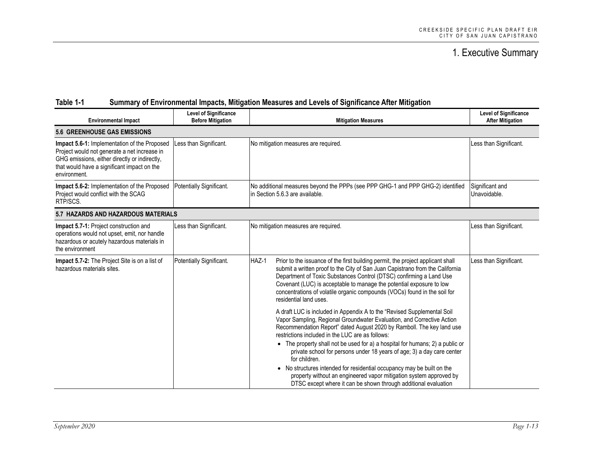| <b>Environmental Impact</b>                                                                                                                                                                                  | <b>Level of Significance</b><br><b>Before Mitigation</b> | <b>Mitigation Measures</b>                                                                                                                                                                                                                                                                                                                                                                                                                                                                                                                                                                                                                                                    | <b>Level of Significance</b><br><b>After Mitigation</b> |
|--------------------------------------------------------------------------------------------------------------------------------------------------------------------------------------------------------------|----------------------------------------------------------|-------------------------------------------------------------------------------------------------------------------------------------------------------------------------------------------------------------------------------------------------------------------------------------------------------------------------------------------------------------------------------------------------------------------------------------------------------------------------------------------------------------------------------------------------------------------------------------------------------------------------------------------------------------------------------|---------------------------------------------------------|
| <b>5.6 GREENHOUSE GAS EMISSIONS</b>                                                                                                                                                                          |                                                          |                                                                                                                                                                                                                                                                                                                                                                                                                                                                                                                                                                                                                                                                               |                                                         |
| Impact 5.6-1: Implementation of the Proposed<br>Project would not generate a net increase in<br>GHG emissions, either directly or indirectly,<br>that would have a significant impact on the<br>environment. | Less than Significant.                                   | No mitigation measures are required.                                                                                                                                                                                                                                                                                                                                                                                                                                                                                                                                                                                                                                          | Less than Significant.                                  |
| Impact 5.6-2: Implementation of the Proposed<br>Project would conflict with the SCAG<br>RTP/SCS.                                                                                                             | Potentially Significant.                                 | No additional measures beyond the PPPs (see PPP GHG-1 and PPP GHG-2) identified<br>in Section 5.6.3 are available.                                                                                                                                                                                                                                                                                                                                                                                                                                                                                                                                                            | Significant and<br>Unavoidable.                         |
| 5.7 HAZARDS AND HAZARDOUS MATERIALS                                                                                                                                                                          |                                                          |                                                                                                                                                                                                                                                                                                                                                                                                                                                                                                                                                                                                                                                                               |                                                         |
| Impact 5.7-1: Project construction and<br>operations would not upset, emit, nor handle<br>hazardous or acutely hazardous materials in<br>the environment                                                     | Less than Significant.                                   | No mitigation measures are required.                                                                                                                                                                                                                                                                                                                                                                                                                                                                                                                                                                                                                                          | Less than Significant.                                  |
| <b>Impact 5.7-2:</b> The Project Site is on a list of<br>hazardous materials sites.                                                                                                                          | Potentially Significant.                                 | HAZ-1<br>Prior to the issuance of the first building permit, the project applicant shall<br>submit a written proof to the City of San Juan Capistrano from the California<br>Department of Toxic Substances Control (DTSC) confirming a Land Use<br>Covenant (LUC) is acceptable to manage the potential exposure to low<br>concentrations of volatile organic compounds (VOCs) found in the soil for<br>residential land uses.                                                                                                                                                                                                                                               | Less than Significant.                                  |
|                                                                                                                                                                                                              |                                                          | A draft LUC is included in Appendix A to the "Revised Supplemental Soil<br>Vapor Sampling, Regional Groundwater Evaluation, and Corrective Action<br>Recommendation Report" dated August 2020 by Ramboll. The key land use<br>restrictions included in the LUC are as follows:<br>• The property shall not be used for a) a hospital for humans; 2) a public or<br>private school for persons under 18 years of age; 3) a day care center<br>for children.<br>• No structures intended for residential occupancy may be built on the<br>property without an engineered vapor mitigation system approved by<br>DTSC except where it can be shown through additional evaluation |                                                         |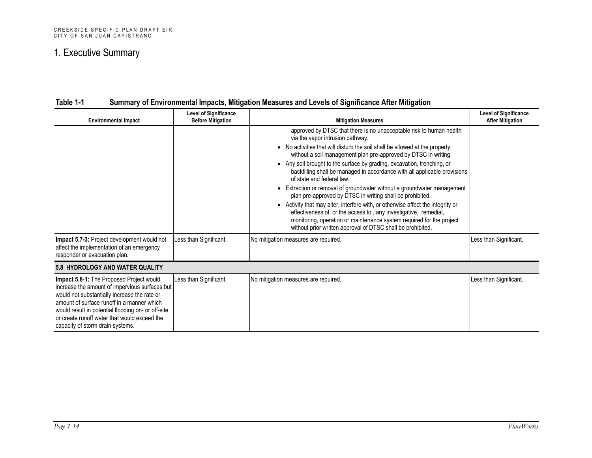| <b>Environmental Impact</b>                                                                                                                                                                                                                                                                                                        | <b>Level of Significance</b><br><b>Before Mitigation</b> | <b>Mitigation Measures</b>                                                                                                                                                                                                                                                                                                                                                                                                                                                                                                                                                                                                                                                                                                                                                                                                                                                           | <b>Level of Significance</b><br><b>After Mitigation</b> |
|------------------------------------------------------------------------------------------------------------------------------------------------------------------------------------------------------------------------------------------------------------------------------------------------------------------------------------|----------------------------------------------------------|--------------------------------------------------------------------------------------------------------------------------------------------------------------------------------------------------------------------------------------------------------------------------------------------------------------------------------------------------------------------------------------------------------------------------------------------------------------------------------------------------------------------------------------------------------------------------------------------------------------------------------------------------------------------------------------------------------------------------------------------------------------------------------------------------------------------------------------------------------------------------------------|---------------------------------------------------------|
|                                                                                                                                                                                                                                                                                                                                    |                                                          | approved by DTSC that there is no unacceptable risk to human health<br>via the vapor intrusion pathway.<br>• No activities that will disturb the soil shall be allowed at the property<br>without a soil management plan pre-approved by DTSC in writing.<br>• Any soil brought to the surface by grading, excavation, trenching, or<br>backfilling shall be managed in accordance with all applicable provisions<br>of state and federal law.<br>• Extraction or removal of groundwater without a groundwater management<br>plan pre-approved by DTSC in writing shall be prohibited.<br>• Activity that may alter, interfere with, or otherwise affect the integrity or<br>effectiveness of, or the access to, any investigative, remedial,<br>monitoring, operation or maintenance system required for the project<br>without prior written approval of DTSC shall be prohibited. |                                                         |
| Impact 5.7-3: Project development would not<br>affect the implementation of an emergency<br>responder or evacuation plan.                                                                                                                                                                                                          | Less than Significant.                                   | No mitigation measures are required.                                                                                                                                                                                                                                                                                                                                                                                                                                                                                                                                                                                                                                                                                                                                                                                                                                                 | Less than Significant.                                  |
| 5.8 HYDROLOGY AND WATER QUALITY                                                                                                                                                                                                                                                                                                    |                                                          |                                                                                                                                                                                                                                                                                                                                                                                                                                                                                                                                                                                                                                                                                                                                                                                                                                                                                      |                                                         |
| Impact 5.8-1: The Proposed Project would<br>increase the amount of impervious surfaces but<br>would not substantially increase the rate or<br>amount of surface runoff in a manner which<br>would result in potential flooding on- or off-site<br>or create runoff water that would exceed the<br>capacity of storm drain systems. | Less than Significant.                                   | No mitigation measures are required.                                                                                                                                                                                                                                                                                                                                                                                                                                                                                                                                                                                                                                                                                                                                                                                                                                                 | Less than Significant.                                  |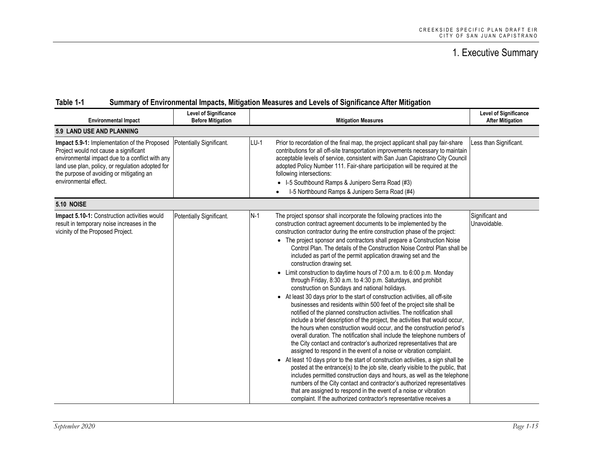| <b>Environmental Impact</b>                                                                                                                                                                                                                                       | <b>Level of Significance</b><br><b>Before Mitigation</b> | <b>Mitigation Measures</b>                                                                                                                                                                                                                                                                                                                                                                                                                                                                                                                                                                                                                                                                                                                                                                                                                                                                                                                                                                                                                                                                                                                                                                                                                                                                                                                                                                                                                                                                                                                                                                                                                                                                                                                                                                         | <b>Level of Significance</b><br><b>After Mitigation</b> |
|-------------------------------------------------------------------------------------------------------------------------------------------------------------------------------------------------------------------------------------------------------------------|----------------------------------------------------------|----------------------------------------------------------------------------------------------------------------------------------------------------------------------------------------------------------------------------------------------------------------------------------------------------------------------------------------------------------------------------------------------------------------------------------------------------------------------------------------------------------------------------------------------------------------------------------------------------------------------------------------------------------------------------------------------------------------------------------------------------------------------------------------------------------------------------------------------------------------------------------------------------------------------------------------------------------------------------------------------------------------------------------------------------------------------------------------------------------------------------------------------------------------------------------------------------------------------------------------------------------------------------------------------------------------------------------------------------------------------------------------------------------------------------------------------------------------------------------------------------------------------------------------------------------------------------------------------------------------------------------------------------------------------------------------------------------------------------------------------------------------------------------------------------|---------------------------------------------------------|
| 5.9 LAND USE AND PLANNING                                                                                                                                                                                                                                         |                                                          |                                                                                                                                                                                                                                                                                                                                                                                                                                                                                                                                                                                                                                                                                                                                                                                                                                                                                                                                                                                                                                                                                                                                                                                                                                                                                                                                                                                                                                                                                                                                                                                                                                                                                                                                                                                                    |                                                         |
| Impact 5.9-1: Implementation of the Proposed<br>Project would not cause a significant<br>environmental impact due to a conflict with any<br>land use plan, policy, or regulation adopted for<br>the purpose of avoiding or mitigating an<br>environmental effect. | Potentially Significant.                                 | $LU-1$<br>Prior to recordation of the final map, the project applicant shall pay fair-share<br>contributions for all off-site transportation improvements necessary to maintain<br>acceptable levels of service, consistent with San Juan Capistrano City Council<br>adopted Policy Number 111. Fair-share participation will be required at the<br>following intersections:<br>• I-5 Southbound Ramps & Junipero Serra Road (#3)<br>I-5 Northbound Ramps & Junipero Serra Road (#4)<br>$\bullet$                                                                                                                                                                                                                                                                                                                                                                                                                                                                                                                                                                                                                                                                                                                                                                                                                                                                                                                                                                                                                                                                                                                                                                                                                                                                                                  | Less than Significant.                                  |
| <b>5.10 NOISE</b>                                                                                                                                                                                                                                                 |                                                          |                                                                                                                                                                                                                                                                                                                                                                                                                                                                                                                                                                                                                                                                                                                                                                                                                                                                                                                                                                                                                                                                                                                                                                                                                                                                                                                                                                                                                                                                                                                                                                                                                                                                                                                                                                                                    |                                                         |
| Impact 5.10-1: Construction activities would<br>result in temporary noise increases in the<br>vicinity of the Proposed Project.                                                                                                                                   | Potentially Significant.                                 | $N-1$<br>The project sponsor shall incorporate the following practices into the<br>construction contract agreement documents to be implemented by the<br>construction contractor during the entire construction phase of the project:<br>• The project sponsor and contractors shall prepare a Construction Noise<br>Control Plan. The details of the Construction Noise Control Plan shall be<br>included as part of the permit application drawing set and the<br>construction drawing set.<br>• Limit construction to daytime hours of 7:00 a.m. to 6:00 p.m. Monday<br>through Friday, 8:30 a.m. to 4:30 p.m. Saturdays, and prohibit<br>construction on Sundays and national holidays.<br>• At least 30 days prior to the start of construction activities, all off-site<br>businesses and residents within 500 feet of the project site shall be<br>notified of the planned construction activities. The notification shall<br>include a brief description of the project, the activities that would occur,<br>the hours when construction would occur, and the construction period's<br>overall duration. The notification shall include the telephone numbers of<br>the City contact and contractor's authorized representatives that are<br>assigned to respond in the event of a noise or vibration complaint.<br>• At least 10 days prior to the start of construction activities, a sign shall be<br>posted at the entrance(s) to the job site, clearly visible to the public, that<br>includes permitted construction days and hours, as well as the telephone<br>numbers of the City contact and contractor's authorized representatives<br>that are assigned to respond in the event of a noise or vibration<br>complaint. If the authorized contractor's representative receives a | Significant and<br>Unavoidable.                         |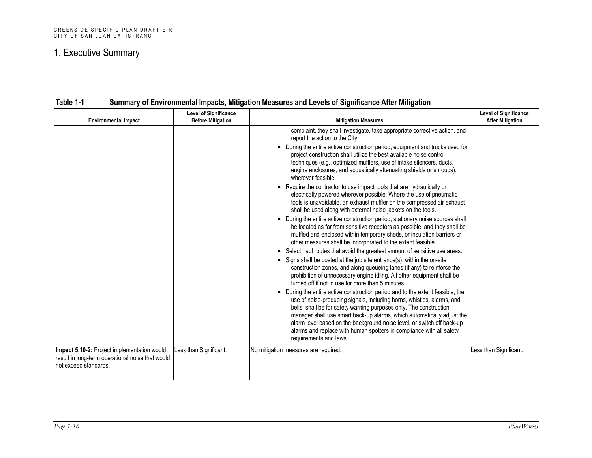| <b>Environmental Impact</b>                                                                                              | <b>Level of Significance</b><br><b>Before Mitigation</b> | <b>Mitigation Measures</b>                                                                                                                                                                                                                                                                                                                                                                                                                                                                                                                                                                                                                                                                                                                                                                                                                                                                                                                                                                                                                                                                                                                                                                                                                                                                                                                                                                                                                                                                                                                                                                                                                                                                                                                                                                                                                                                                                 | <b>Level of Significance</b><br><b>After Mitigation</b> |
|--------------------------------------------------------------------------------------------------------------------------|----------------------------------------------------------|------------------------------------------------------------------------------------------------------------------------------------------------------------------------------------------------------------------------------------------------------------------------------------------------------------------------------------------------------------------------------------------------------------------------------------------------------------------------------------------------------------------------------------------------------------------------------------------------------------------------------------------------------------------------------------------------------------------------------------------------------------------------------------------------------------------------------------------------------------------------------------------------------------------------------------------------------------------------------------------------------------------------------------------------------------------------------------------------------------------------------------------------------------------------------------------------------------------------------------------------------------------------------------------------------------------------------------------------------------------------------------------------------------------------------------------------------------------------------------------------------------------------------------------------------------------------------------------------------------------------------------------------------------------------------------------------------------------------------------------------------------------------------------------------------------------------------------------------------------------------------------------------------------|---------------------------------------------------------|
|                                                                                                                          |                                                          | complaint, they shall investigate, take appropriate corrective action, and<br>report the action to the City.<br>• During the entire active construction period, equipment and trucks used for<br>project construction shall utilize the best available noise control<br>techniques (e.g., optimized mufflers, use of intake silencers, ducts,<br>engine enclosures, and acoustically attenuating shields or shrouds),<br>wherever feasible.<br>• Require the contractor to use impact tools that are hydraulically or<br>electrically powered wherever possible. Where the use of pneumatic<br>tools is unavoidable, an exhaust muffler on the compressed air exhaust<br>shall be used along with external noise jackets on the tools.<br>• During the entire active construction period, stationary noise sources shall<br>be located as far from sensitive receptors as possible, and they shall be<br>muffled and enclosed within temporary sheds, or insulation barriers or<br>other measures shall be incorporated to the extent feasible.<br>• Select haul routes that avoid the greatest amount of sensitive use areas.<br>• Signs shall be posted at the job site entrance(s), within the on-site<br>construction zones, and along queueing lanes (if any) to reinforce the<br>prohibition of unnecessary engine idling. All other equipment shall be<br>turned off if not in use for more than 5 minutes.<br>• During the entire active construction period and to the extent feasible, the<br>use of noise-producing signals, including horns, whistles, alarms, and<br>bells, shall be for safety warning purposes only. The construction<br>manager shall use smart back-up alarms, which automatically adjust the<br>alarm level based on the background noise level, or switch off back-up<br>alarms and replace with human spotters in compliance with all safety<br>requirements and laws. |                                                         |
| Impact 5.10-2: Project implementation would<br>result in long-term operational noise that would<br>not exceed standards. | Less than Significant.                                   | No mitigation measures are required.                                                                                                                                                                                                                                                                                                                                                                                                                                                                                                                                                                                                                                                                                                                                                                                                                                                                                                                                                                                                                                                                                                                                                                                                                                                                                                                                                                                                                                                                                                                                                                                                                                                                                                                                                                                                                                                                       | Less than Significant.                                  |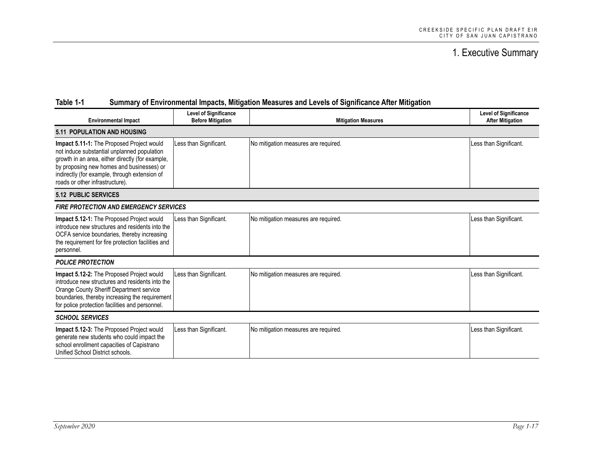| <b>Environmental Impact</b>                                                                                                                                                                                                                                                   | <b>Level of Significance</b><br><b>Before Mitigation</b> | <b>Mitigation Measures</b>           | <b>Level of Significance</b><br><b>After Mitigation</b> |  |
|-------------------------------------------------------------------------------------------------------------------------------------------------------------------------------------------------------------------------------------------------------------------------------|----------------------------------------------------------|--------------------------------------|---------------------------------------------------------|--|
| <b>5.11 POPULATION AND HOUSING</b>                                                                                                                                                                                                                                            |                                                          |                                      |                                                         |  |
| Impact 5.11-1: The Proposed Project would<br>not induce substantial unplanned population<br>growth in an area, either directly (for example,<br>by proposing new homes and businesses) or<br>indirectly (for example, through extension of<br>roads or other infrastructure). | Less than Significant.                                   | No mitigation measures are required. | Less than Significant.                                  |  |
| <b>5.12 PUBLIC SERVICES</b>                                                                                                                                                                                                                                                   |                                                          |                                      |                                                         |  |
| <b>FIRE PROTECTION AND EMERGENCY SERVICES</b>                                                                                                                                                                                                                                 |                                                          |                                      |                                                         |  |
| Impact 5.12-1: The Proposed Project would<br>introduce new structures and residents into the<br>OCFA service boundaries, thereby increasing<br>the requirement for fire protection facilities and<br>personnel.                                                               | Less than Significant.                                   | No mitigation measures are required. | Less than Significant.                                  |  |
| <b>POLICE PROTECTION</b>                                                                                                                                                                                                                                                      |                                                          |                                      |                                                         |  |
| Impact 5.12-2: The Proposed Project would<br>introduce new structures and residents into the<br>Orange County Sheriff Department service<br>boundaries, thereby increasing the requirement<br>for police protection facilities and personnel.                                 | Less than Significant.                                   | No mitigation measures are required. | Less than Significant.                                  |  |
| <b>SCHOOL SERVICES</b>                                                                                                                                                                                                                                                        |                                                          |                                      |                                                         |  |
| Impact 5.12-3: The Proposed Project would<br>generate new students who could impact the<br>school enrollment capacities of Capistrano<br>Unified School District schools.                                                                                                     | Less than Significant.                                   | No mitigation measures are required. | Less than Significant.                                  |  |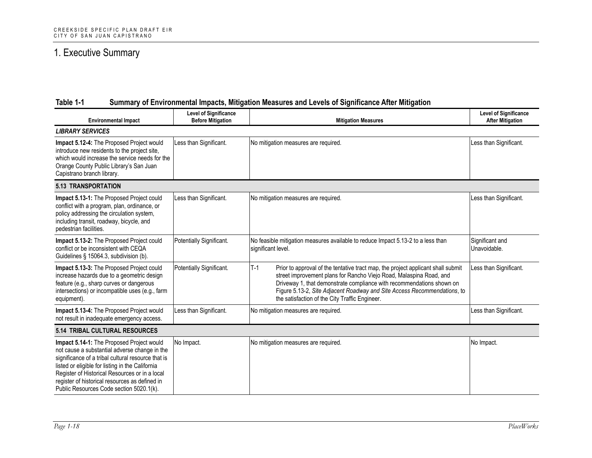| <b>Environmental Impact</b>                                                                                                                                                                                                                                                                                                                          | <b>Level of Significance</b><br><b>Before Mitigation</b> | <b>Mitigation Measures</b>                                                                                                                                                                                                                                                                                                                                              | <b>Level of Significance</b><br><b>After Mitigation</b> |  |
|------------------------------------------------------------------------------------------------------------------------------------------------------------------------------------------------------------------------------------------------------------------------------------------------------------------------------------------------------|----------------------------------------------------------|-------------------------------------------------------------------------------------------------------------------------------------------------------------------------------------------------------------------------------------------------------------------------------------------------------------------------------------------------------------------------|---------------------------------------------------------|--|
| <b>LIBRARY SERVICES</b>                                                                                                                                                                                                                                                                                                                              |                                                          |                                                                                                                                                                                                                                                                                                                                                                         |                                                         |  |
| Impact 5.12-4: The Proposed Project would<br>introduce new residents to the project site,<br>which would increase the service needs for the<br>Orange County Public Library's San Juan<br>Capistrano branch library.                                                                                                                                 | Less than Significant.                                   | No mitigation measures are required.                                                                                                                                                                                                                                                                                                                                    | Less than Significant.                                  |  |
| <b>5.13 TRANSPORTATION</b>                                                                                                                                                                                                                                                                                                                           |                                                          |                                                                                                                                                                                                                                                                                                                                                                         |                                                         |  |
| Impact 5.13-1: The Proposed Project could<br>conflict with a program, plan, ordinance, or<br>policy addressing the circulation system,<br>including transit, roadway, bicycle, and<br>pedestrian facilities.                                                                                                                                         | Less than Significant.                                   | No mitigation measures are required.                                                                                                                                                                                                                                                                                                                                    | Less than Significant.                                  |  |
| Impact 5.13-2: The Proposed Project could<br>conflict or be inconsistent with CEQA<br>Guidelines § 15064.3, subdivision (b).                                                                                                                                                                                                                         | Potentially Significant.                                 | No feasible mitigation measures available to reduce Impact 5.13-2 to a less than<br>significant level.                                                                                                                                                                                                                                                                  | Significant and<br>Unavoidable.                         |  |
| Impact 5.13-3: The Proposed Project could<br>increase hazards due to a geometric design<br>feature (e.g., sharp curves or dangerous<br>intersections) or incompatible uses (e.g., farm<br>equipment).                                                                                                                                                | Potentially Significant.                                 | $T-1$<br>Prior to approval of the tentative tract map, the project applicant shall submit<br>street improvement plans for Rancho Viejo Road, Malaspina Road, and<br>Driveway 1, that demonstrate compliance with recommendations shown on<br>Figure 5.13-2, Site Adjacent Roadway and Site Access Recommendations, to<br>the satisfaction of the City Traffic Engineer. | Less than Significant.                                  |  |
| Impact 5.13-4: The Proposed Project would<br>not result in inadequate emergency access.                                                                                                                                                                                                                                                              | Less than Significant.                                   | No mitigation measures are required.                                                                                                                                                                                                                                                                                                                                    | Less than Significant.                                  |  |
| 5.14 TRIBAL CULTURAL RESOURCES                                                                                                                                                                                                                                                                                                                       |                                                          |                                                                                                                                                                                                                                                                                                                                                                         |                                                         |  |
| Impact 5.14-1: The Proposed Project would<br>not cause a substantial adverse change in the<br>significance of a tribal cultural resource that is<br>listed or eligible for listing in the California<br>Register of Historical Resources or in a local<br>register of historical resources as defined in<br>Public Resources Code section 5020.1(k). | No Impact.                                               | No mitigation measures are required.                                                                                                                                                                                                                                                                                                                                    | No Impact.                                              |  |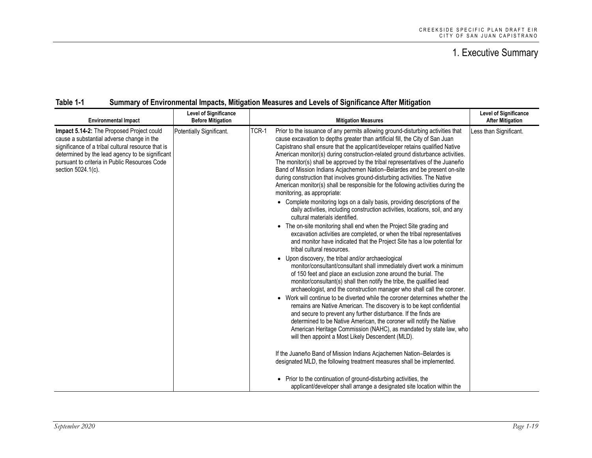| <b>Environmental Impact</b>                                                                                                                                                                                                                                            | <b>Level of Significance</b><br><b>Before Mitigation</b> | <b>Mitigation Measures</b>                                                                                                                                                                                                                                                                                                                                                                                                                                                                                                                                                                                                                                                                                                                                                                                                                                                                                                                                                                                                                                                                                                                                                                                                                                                                                                                                                                                                                                                                                                                                                                                                                                                                                                                                                                                                                                                                                                                                                                                                                                                                                                                                                                                                                                   | <b>Level of Significance</b><br><b>After Mitigation</b> |
|------------------------------------------------------------------------------------------------------------------------------------------------------------------------------------------------------------------------------------------------------------------------|----------------------------------------------------------|--------------------------------------------------------------------------------------------------------------------------------------------------------------------------------------------------------------------------------------------------------------------------------------------------------------------------------------------------------------------------------------------------------------------------------------------------------------------------------------------------------------------------------------------------------------------------------------------------------------------------------------------------------------------------------------------------------------------------------------------------------------------------------------------------------------------------------------------------------------------------------------------------------------------------------------------------------------------------------------------------------------------------------------------------------------------------------------------------------------------------------------------------------------------------------------------------------------------------------------------------------------------------------------------------------------------------------------------------------------------------------------------------------------------------------------------------------------------------------------------------------------------------------------------------------------------------------------------------------------------------------------------------------------------------------------------------------------------------------------------------------------------------------------------------------------------------------------------------------------------------------------------------------------------------------------------------------------------------------------------------------------------------------------------------------------------------------------------------------------------------------------------------------------------------------------------------------------------------------------------------------------|---------------------------------------------------------|
| Impact 5.14-2: The Proposed Project could<br>cause a substantial adverse change in the<br>significance of a tribal cultural resource that is<br>determined by the lead agency to be significant<br>pursuant to criteria in Public Resources Code<br>section 5024.1(c). | Potentially Significant.                                 | TCR-1<br>Prior to the issuance of any permits allowing ground-disturbing activities that<br>cause excavation to depths greater than artificial fill, the City of San Juan<br>Capistrano shall ensure that the applicant/developer retains qualified Native<br>American monitor(s) during construction-related ground disturbance activities.<br>The monitor(s) shall be approved by the tribal representatives of the Juaneño<br>Band of Mission Indians Acjachemen Nation-Belardes and be present on-site<br>during construction that involves ground-disturbing activities. The Native<br>American monitor(s) shall be responsible for the following activities during the<br>monitoring, as appropriate:<br>• Complete monitoring logs on a daily basis, providing descriptions of the<br>daily activities, including construction activities, locations, soil, and any<br>cultural materials identified.<br>• The on-site monitoring shall end when the Project Site grading and<br>excavation activities are completed, or when the tribal representatives<br>and monitor have indicated that the Project Site has a low potential for<br>tribal cultural resources.<br>Upon discovery, the tribal and/or archaeological<br>monitor/consultant/consultant shall immediately divert work a minimum<br>of 150 feet and place an exclusion zone around the burial. The<br>monitor/consultant(s) shall then notify the tribe, the qualified lead<br>archaeologist, and the construction manager who shall call the coroner.<br>• Work will continue to be diverted while the coroner determines whether the<br>remains are Native American. The discovery is to be kept confidential<br>and secure to prevent any further disturbance. If the finds are<br>determined to be Native American, the coroner will notify the Native<br>American Heritage Commission (NAHC), as mandated by state law, who<br>will then appoint a Most Likely Descendent (MLD).<br>If the Juaneño Band of Mission Indians Acjachemen Nation-Belardes is<br>designated MLD, the following treatment measures shall be implemented.<br>• Prior to the continuation of ground-disturbing activities, the<br>applicant/developer shall arrange a designated site location within the | Less than Significant.                                  |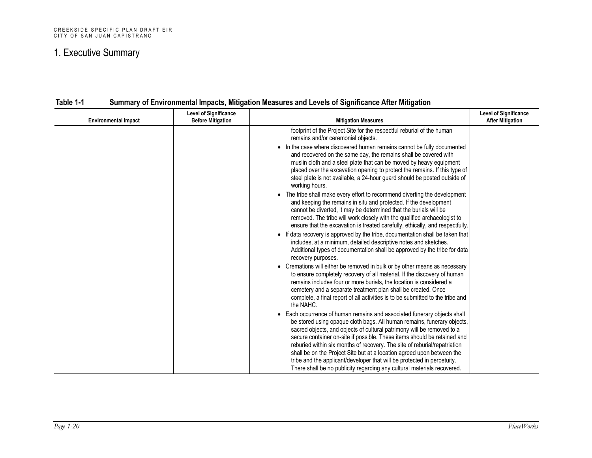| <b>Environmental Impact</b> | <b>Level of Significance</b><br><b>Before Mitigation</b> | <b>Mitigation Measures</b>                                                                                                                                                                                                                                                                                                                                                                                                                                                                                                                                                                                                                                                                                                                                                                                                                                                                                                                                                                                                                                                                                                                                                                                                                                                                                                                                                                                                                                                                                                                                                                                                                                                                                                                                                                                                                                                                                                                                                                                                                                                                                                                                                               | <b>Level of Significance</b><br><b>After Mitigation</b> |
|-----------------------------|----------------------------------------------------------|------------------------------------------------------------------------------------------------------------------------------------------------------------------------------------------------------------------------------------------------------------------------------------------------------------------------------------------------------------------------------------------------------------------------------------------------------------------------------------------------------------------------------------------------------------------------------------------------------------------------------------------------------------------------------------------------------------------------------------------------------------------------------------------------------------------------------------------------------------------------------------------------------------------------------------------------------------------------------------------------------------------------------------------------------------------------------------------------------------------------------------------------------------------------------------------------------------------------------------------------------------------------------------------------------------------------------------------------------------------------------------------------------------------------------------------------------------------------------------------------------------------------------------------------------------------------------------------------------------------------------------------------------------------------------------------------------------------------------------------------------------------------------------------------------------------------------------------------------------------------------------------------------------------------------------------------------------------------------------------------------------------------------------------------------------------------------------------------------------------------------------------------------------------------------------------|---------------------------------------------------------|
|                             |                                                          | footprint of the Project Site for the respectful reburial of the human<br>remains and/or ceremonial objects.<br>• In the case where discovered human remains cannot be fully documented<br>and recovered on the same day, the remains shall be covered with<br>muslin cloth and a steel plate that can be moved by heavy equipment<br>placed over the excavation opening to protect the remains. If this type of<br>steel plate is not available, a 24-hour guard should be posted outside of<br>working hours.<br>• The tribe shall make every effort to recommend diverting the development<br>and keeping the remains in situ and protected. If the development<br>cannot be diverted, it may be determined that the burials will be<br>removed. The tribe will work closely with the qualified archaeologist to<br>ensure that the excavation is treated carefully, ethically, and respectfully.<br>• If data recovery is approved by the tribe, documentation shall be taken that<br>includes, at a minimum, detailed descriptive notes and sketches.<br>Additional types of documentation shall be approved by the tribe for data<br>recovery purposes.<br>• Cremations will either be removed in bulk or by other means as necessary<br>to ensure completely recovery of all material. If the discovery of human<br>remains includes four or more burials, the location is considered a<br>cemetery and a separate treatment plan shall be created. Once<br>complete, a final report of all activities is to be submitted to the tribe and<br>the NAHC.<br>• Each occurrence of human remains and associated funerary objects shall<br>be stored using opaque cloth bags. All human remains, funerary objects,<br>sacred objects, and objects of cultural patrimony will be removed to a<br>secure container on-site if possible. These items should be retained and<br>reburied within six months of recovery. The site of reburial/repatriation<br>shall be on the Project Site but at a location agreed upon between the<br>tribe and the applicant/developer that will be protected in perpetuity.<br>There shall be no publicity regarding any cultural materials recovered. |                                                         |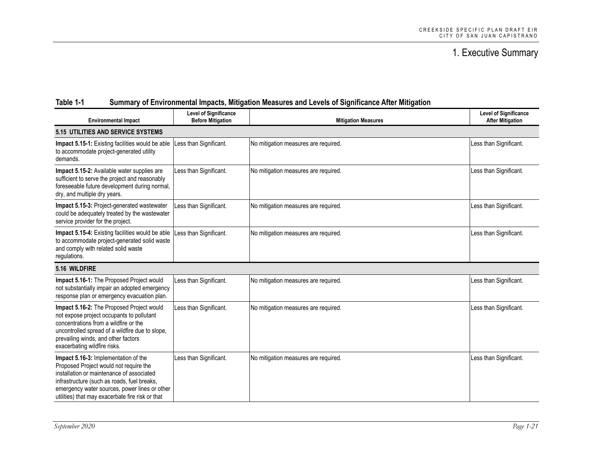| <b>Environmental Impact</b>                                                                                                                                                                                                                                                     | <b>Level of Significance</b><br><b>Before Mitigation</b> | <b>Mitigation Measures</b>           | <b>Level of Significance</b><br><b>After Mitigation</b> |  |  |
|---------------------------------------------------------------------------------------------------------------------------------------------------------------------------------------------------------------------------------------------------------------------------------|----------------------------------------------------------|--------------------------------------|---------------------------------------------------------|--|--|
| <b>5.15 UTILITIES AND SERVICE SYSTEMS</b>                                                                                                                                                                                                                                       |                                                          |                                      |                                                         |  |  |
| Impact 5.15-1: Existing facilities would be able<br>to accommodate project-generated utility<br>demands.                                                                                                                                                                        | Less than Significant.                                   | No mitigation measures are required. | Less than Significant.                                  |  |  |
| Impact 5.15-2: Available water supplies are<br>sufficient to serve the project and reasonably<br>foreseeable future development during normal,<br>dry, and multiple dry years.                                                                                                  | Less than Significant.                                   | No mitigation measures are required. | Less than Significant.                                  |  |  |
| Impact 5.15-3: Project-generated wastewater<br>could be adequately treated by the wastewater<br>service provider for the project.                                                                                                                                               | Less than Significant.                                   | No mitigation measures are required. | Less than Significant.                                  |  |  |
| Impact 5.15-4: Existing facilities would be able<br>to accommodate project-generated solid waste<br>and comply with related solid waste<br>regulations.                                                                                                                         | Less than Significant.                                   | No mitigation measures are required. | Less than Significant.                                  |  |  |
| 5.16 WILDFIRE                                                                                                                                                                                                                                                                   |                                                          |                                      |                                                         |  |  |
| Impact 5.16-1: The Proposed Project would<br>not substantially impair an adopted emergency<br>response plan or emergency evacuation plan.                                                                                                                                       | Less than Significant.                                   | No mitigation measures are required. | Less than Significant.                                  |  |  |
| Impact 5.16-2: The Proposed Project would<br>not expose project occupants to pollutant<br>concentrations from a wildfire or the<br>uncontrolled spread of a wildfire due to slope,<br>prevailing winds, and other factors<br>exacerbating wildfire risks.                       | Less than Significant.                                   | No mitigation measures are required. | Less than Significant.                                  |  |  |
| Impact 5.16-3: Implementation of the<br>Proposed Project would not require the<br>installation or maintenance of associated<br>infrastructure (such as roads, fuel breaks,<br>emergency water sources, power lines or other<br>utilities) that may exacerbate fire risk or that | Less than Significant.                                   | No mitigation measures are required. | Less than Significant.                                  |  |  |